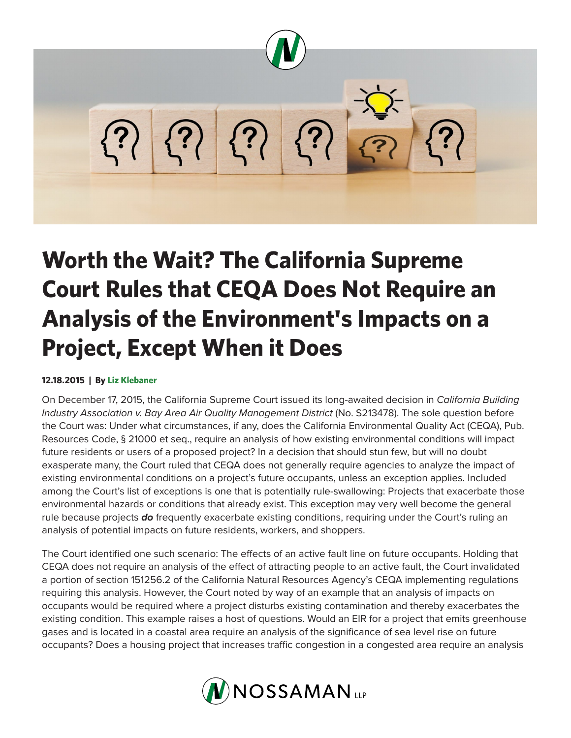

## **Worth the Wait? The California Supreme Court Rules that CEQA Does Not Require an Analysis of the Environment's Impacts on a Project, Except When it Does**

## **12.18.2015 | By Liz Klebaner**

On December 17, 2015, the California Supreme Court issued its long-awaited decision in *California Building Industry Association v. Bay Area Air Quality Management District (No. S213478). The sole question before* the Court was: Under what circumstances, if any, does the California Environmental Quality Act (CEQA), Pub. Resources Code, § 21000 et seq., require an analysis of how existing environmental conditions will impact future residents or users of a proposed project? In a decision that should stun few, but will no doubt exasperate many, the Court ruled that CEQA does not generally require agencies to analyze the impact of existing environmental conditions on a project's future occupants, unless an exception applies. Included among the Court's list of exceptions is one that is potentially rule-swallowing: Projects that exacerbate those environmental hazards or conditions that already exist. This exception may very well become the general rule because projects *do* frequently exacerbate existing conditions, requiring under the Court's ruling an analysis of potential impacts on future residents, workers, and shoppers.

The Court identified one such scenario: The effects of an active fault line on future occupants. Holding that CEQA does not require an analysis of the effect of attracting people to an active fault, the Court invalidated a portion of section 151256.2 of the California Natural Resources Agency's CEQA implementing regulations requiring this analysis. However, the Court noted by way of an example that an analysis of impacts on occupants would be required where a project disturbs existing contamination and thereby exacerbates the existing condition. This example raises a host of questions. Would an EIR for a project that emits greenhouse gases and is located in a coastal area require an analysis of the significance of sea level rise on future occupants? Does a housing project that increases traffic congestion in a congested area require an analysis